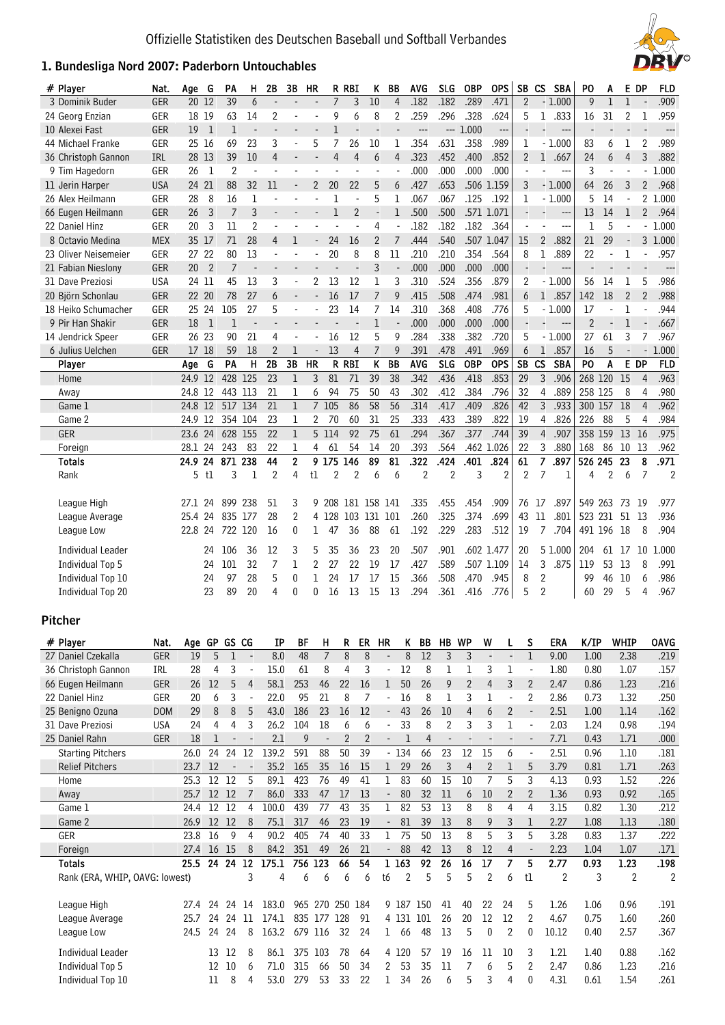# **1. Bundesliga Nord** 2007**: Paderborn Untouchables**



| # Player                 | Nat.       | Age        | G              | PA                       | н                        | 2B                 | 3B                       | <b>HR</b>                |                | R RBI                    | ĸ              | BB                       |             | <b>AVG</b>     | <b>SLG</b>               | <b>OBP</b>     | <b>OPS</b>                                           | <b>SB</b>      | <b>CS</b>                | <b>SBA</b>               | PO             | A                        | E DP                     |                          | <b>FLD</b>     |
|--------------------------|------------|------------|----------------|--------------------------|--------------------------|--------------------|--------------------------|--------------------------|----------------|--------------------------|----------------|--------------------------|-------------|----------------|--------------------------|----------------|------------------------------------------------------|----------------|--------------------------|--------------------------|----------------|--------------------------|--------------------------|--------------------------|----------------|
| 3 Dominik Buder          | GER        | 20 12      |                | 39                       | 6                        | $\overline{a}$     |                          | $\overline{\phantom{a}}$ | $\overline{7}$ | 3                        | 10             | $\overline{4}$           |             | .182           | .182                     | .289           | .471                                                 | $\overline{2}$ |                          | $-1.000$                 | 9              | $\mathbf{1}$             | $\mathbf{1}$             |                          | .909           |
| 24 Georg Enzian          | GER        | 18 19      |                | 63                       | 14                       | 2                  |                          |                          | 9              | 6                        | 8              | 2                        |             | .259           | .296                     | .328           | .624                                                 | 5              | $\mathbf{1}$             | .833                     | 16             | 31                       | 2                        | 1                        | .959           |
| 10 Alexei Fast           | GER        | 19         | - 1            | 1                        | $\overline{\phantom{a}}$ | $\overline{a}$     | $\overline{\phantom{a}}$ |                          | 1              |                          |                |                          |             | $---$          |                          | $-1.000$       | $\overline{\phantom{a}}$                             |                |                          | $\overline{\phantom{a}}$ | $\blacksquare$ |                          |                          |                          | $---$          |
| 44 Michael Franke        | GER        | 25 16      |                | 69                       | 23                       | 3                  |                          | 5                        | 7              | 26                       | 10             | 1                        |             | .354           | .631                     | .358           | .989                                                 | 1              |                          | $-1.000$                 | 83             | 6                        | 1                        | $\overline{2}$           | .989           |
| 36 Christoph Gannon      | <b>IRL</b> | 28 13      |                | 39                       | 10                       | 4                  |                          | $\overline{\phantom{a}}$ | 4              | $\overline{4}$           | 6              | $\overline{4}$           |             | .323           | .452                     | .400           | .852                                                 | $\overline{2}$ |                          | 1 .667                   | 24             | 6                        | 4                        | 3                        | .882           |
| 9 Tim Hagedorn           | GER        | 26         | $\mathbf{1}$   | $\overline{2}$           | ٠                        | ÷,                 |                          |                          |                | L,                       | ÷,             |                          |             | .000           | .000                     | .000           | .000                                                 |                |                          | ---                      | 3              | $\blacksquare$           | $\overline{\phantom{a}}$ | $\blacksquare$           | 1.000          |
| 11 Jerin Harper          | <b>USA</b> | 24 21      |                | 88                       | 32                       | 11                 | $\overline{\phantom{a}}$ | $\overline{2}$           | 20             | 22                       | 5              | 6                        |             | .427           | .653                     |                | .506 1.159                                           | 3              |                          | $-1.000$                 | 64             | 26                       | 3                        | $\overline{2}$           | .968           |
| 26 Alex Heilmann         | GER        | 28         | 8              | 16                       | 1                        | Ĭ.                 |                          |                          | 1              | $\overline{\phantom{a}}$ | 5              | 1                        |             | .067           | .067                     | .125           | .192                                                 | 1              |                          | $-1.000$                 | 5              | 14                       | $\overline{\phantom{a}}$ |                          | 2 1.000        |
| 66 Eugen Heilmann        | GER        | 26         | 3              | 7                        | 3                        | Ē,                 |                          |                          | 1              | $\overline{2}$           | $\blacksquare$ | 1                        |             | .500           | .500                     |                | .571 1.071                                           |                |                          | ---                      | 13             | 14                       | 1                        | $\overline{2}$           | .964           |
| 22 Daniel Hinz           | GER        | 20         | 3              | 11                       | $\overline{2}$           | ä,                 |                          |                          |                |                          | 4              |                          |             | .182           | .182                     | .182           | .364                                                 | $\blacksquare$ |                          | ---                      | 1              | 5                        |                          | $\blacksquare$           | 1.000          |
| 8 Octavio Medina         | <b>MEX</b> | 35 17      |                | 71                       | 28                       | 4                  | 1                        | $\overline{\phantom{a}}$ | 24             | 16                       | $\overline{2}$ | 7                        |             | .444           | .540                     |                | .507 1.047                                           | 15             | $2^{\circ}$              | .882                     | 21             | 29                       |                          |                          | 3 1.000        |
| 23 Oliver Neisemeier     | GER        | 27 22      |                | 80                       | 13                       | $\overline{a}$     |                          |                          | 20             | 8                        | 8              | 11                       |             | .210           | .210                     | .354           | .564                                                 | 8              | 1                        | .889                     | 22             |                          | 1                        |                          | .957           |
| 21 Fabian Nieslony       | GER        | 20         | $\overline{2}$ | $\overline{7}$           |                          |                    |                          |                          |                |                          | 3              |                          |             | .000           | .000                     | .000           | .000                                                 |                |                          | $\overline{\phantom{a}}$ |                |                          |                          |                          |                |
| 31 Dave Preziosi         | <b>USA</b> | 24 11      |                | 45                       | 13                       | 3                  |                          | 2                        | 13             | 12                       | 1              | 3                        |             | .310           | .524                     | .356           | .879                                                 | $\overline{2}$ |                          | $-1.000$                 | 56             | 14                       | 1                        | 5                        | .986           |
| 20 Björn Schonlau        | GER        | 22 20      |                | 78                       | 27                       | 6                  |                          |                          | 16             | 17                       | 7              | 9                        |             | .415           | .508                     | .474           | .981                                                 | 6              |                          | 1 .857                   | 142            | 18                       | $\overline{2}$           | $\overline{2}$           | .988           |
| 18 Heiko Schumacher      | GER        | 25 24      |                | 105                      | 27                       | 5                  |                          |                          | 23             | 14                       | 7              | 14                       |             | .310           | .368                     | .408           | .776                                                 | 5              |                          | $-1.000$                 | 17             | $\blacksquare$           | 1                        | ÷,                       | .944           |
| 9 Pir Han Shakir         | GER        | 18         | $\mathbf{1}$   | 1                        | $\overline{a}$           | $\frac{1}{2}$      |                          |                          |                | $\overline{\phantom{a}}$ | $\mathbf{1}$   |                          |             | .000           | .000                     | .000           | .000                                                 | $\overline{a}$ | $\blacksquare$           | $\overline{\phantom{a}}$ | $\overline{2}$ | $\overline{\phantom{a}}$ | 1                        |                          | .667           |
| 14 Jendrick Speer        | GER        | 26 23      |                | 90                       | 21                       | 4                  |                          |                          | 16             | 12                       | 5              | 9                        |             | .284           | .338                     | .382           | .720                                                 | 5              |                          | $-1.000$                 | 27             | 61                       | 3                        | $\overline{7}$           | .967           |
| 6 Julius Uelchen         | GER        | 17 18      |                | 59                       | 18                       | $\overline{2}$     | 1                        | $\overline{\phantom{a}}$ | 13             | 4                        | $\overline{7}$ | 9                        |             | .391           | .478                     | .491           | .969                                                 | 6              | $\mathbf{1}$             | .857                     | 16             | 5                        | $\overline{\phantom{a}}$ | $\overline{\phantom{a}}$ | 1.000          |
| Player                   |            | Age        | G              | PA                       | н                        | 2B                 | 3B                       | HR                       |                | R RBI                    | K              | <b>BB</b>                |             | <b>AVG</b>     | SLG                      | <b>OBP</b>     | <b>OPS</b>                                           | <b>SB</b>      | <b>CS</b>                | <b>SBA</b>               | P <sub>O</sub> | A                        | E DP                     |                          | <b>FLD</b>     |
| Home                     |            | 24.9 12    |                | 428 125                  |                          | 23                 | $\mathbf{1}$             | 3                        | 81             | 71                       | 39             | 38                       |             | .342           | .436                     | .418           | .853                                                 | 29             | 3                        | .906                     | 268 120        |                          | 15                       | 4                        | .963           |
| Away                     |            | 24.8 12    |                | 443 113                  |                          | 21                 | 1                        | 6                        | 94             | 75                       | 50             | 43                       |             | .302           | .412                     | .384           | .796                                                 | 32             | 4                        | .889                     | 258 125        |                          | 8                        | 4                        | .980           |
| Game 1                   |            | 24.8 12    |                | 517 134                  |                          | 21                 | $\mathbf 1$              |                          | 7 105          | 86                       | 58             | 56                       |             | .314           | .417                     | .409           | .826                                                 | 42             | $\overline{3}$           | .933                     | 300 157        |                          | 18                       | $\overline{4}$           | .962           |
| Game 2                   |            | 24.9 12    |                | 354 104                  |                          | 23                 | 1                        | 2                        | 70             | 60                       | 31             | 25                       |             | .333           | .433                     | .389           | .822                                                 | 19             | 4                        | .826                     | 226            | 88                       | 5                        | 4                        | .984           |
| GER                      |            | 23.6 24    |                | 628 155                  |                          | 22                 | $\mathbf{1}$             |                          | 5 114          | 92                       | 75             | 61                       |             | .294           | .367                     | .377           | .744                                                 | 39             | $\overline{4}$           | .907                     | 358 159        |                          | 13                       | 16                       | .975           |
| Foreign                  |            | 28.1       | 24             | 243                      | 83                       | 22                 | 1                        | 4                        | 61             | 54                       | 14             | 20                       |             | .393           | .564                     |                | .462 1.026                                           | 22             | 3                        | .880                     | 168            | 86                       | 10                       | -13                      | .962           |
| Totals                   |            | 24.9       | 24             | 871                      | 238                      | 44                 | $\mathbf{2}$             |                          | 9 175          | 146                      | 89             | 81                       |             | .322           | .424                     | .401           | .824                                                 | 61             | $\overline{7}$           | .897                     | 526 245        |                          | 23                       | 8                        | .971           |
| Rank                     |            |            | 5 tl           | 3                        | 1                        | 2                  | 4                        | t1                       | 2              | $\overline{2}$           | 6              | 6                        |             | $\overline{c}$ | $\overline{2}$           | 3              | $\overline{2}$                                       | $\overline{2}$ | 7                        | 1                        | 4              | 2                        | 6                        | 7                        | $\overline{2}$ |
|                          |            |            |                |                          |                          |                    |                          |                          |                |                          |                |                          |             |                |                          |                |                                                      |                |                          |                          |                |                          |                          |                          |                |
| League High              |            | 27.1       | 24             | 899                      | 238                      | 51                 | 3                        | 9                        |                | 208 181 158              |                | 141                      |             | .335           | .455                     | .454           | .909                                                 | 76             | 17                       | .897                     | 549 263        |                          | -73                      | - 19                     | .977           |
| League Average           |            | 25.4       | 24             | 835 177                  |                          | 28                 | $\overline{2}$           |                          | 4 128          | 103 131 101              |                |                          |             | .260           | .325                     | .374           | .699                                                 | 43             | 11                       | .801                     | 523 231        |                          | 51                       | 13                       | .936           |
| League Low               |            | 22.8 24    |                | 722 120                  |                          | 16                 | $\mathbf{0}$             | ı                        | 47             | 36                       | 88             | 61                       |             | .192           | .229                     | .283           | .512                                                 | 19             | $\overline{7}$           | .704                     | 491 196        |                          | 18                       | 8                        | .904           |
|                          |            |            |                |                          |                          |                    |                          |                          |                |                          |                |                          |             |                |                          |                |                                                      |                |                          |                          |                |                          |                          |                          |                |
| <b>Individual Leader</b> |            |            | 24             | 106                      | 36                       | 12                 | 3                        | 5                        | 35             | 36                       | 23             | 20                       |             | .507           | .901                     |                | .602 1.477                                           | 20             |                          | 5 1.000                  | 204            | 61                       | 17                       | 10                       | 1.000          |
| Individual Top 5         |            |            | 24             | 101                      | 32                       | 7                  | 1                        | 2                        | 27             | 22                       | 19             | 17                       |             | .427           | .589                     |                | .507 1.109                                           | 14             | 3                        | .875                     | 119            | 53                       | 13                       | 8                        | .991           |
| Individual Top 10        |            |            | 24             | 97                       | 28                       | 5                  | $\mathbf{0}$             | 1                        | 24             | 17                       | 17             | 15                       |             | .366           | .508                     | .470           | .945                                                 | 8              | $\overline{2}$           |                          | 99             | 46                       | 10                       | 6                        | .986           |
| Individual Top 20        |            |            | 23             | 89                       | 20                       | 4                  | $\theta$                 | 0                        | 16             | 13                       | 15             | 13                       |             | .294           | .361                     | .416           | .776                                                 | 5              | $\overline{2}$           |                          | 60             | 29                       | 5                        | 4                        | .967           |
|                          |            |            |                |                          |                          |                    |                          |                          |                |                          |                |                          |             |                |                          |                |                                                      |                |                          |                          |                |                          |                          |                          |                |
| <b>Pitcher</b>           |            |            |                |                          |                          |                    |                          |                          |                |                          |                |                          |             |                |                          |                |                                                      |                |                          |                          |                |                          |                          |                          |                |
| # Plaver                 | Nat.       |            |                | Age GP GS CG             |                          | ΙP                 | BF                       |                          | н              | R.                       | ER             | HR                       | K.          | BB             | HB WP                    |                | W<br>L                                               | S              |                          | ERA                      | K/IP           |                          | <b>WHIP</b>              |                          | <b>OAVG</b>    |
| 27 Daniel Czekalla       | GER        | 19         | 5              | $\mathbf 1$              | $\overline{\phantom{a}}$ | 8.0                | 48                       |                          | $\overline{7}$ | 8                        | 8              | $\overline{\phantom{a}}$ | $\, 8$      | 12             | $\mathsf{3}$             | 3              | $\overline{\phantom{a}}$<br>$\overline{\phantom{a}}$ | $\mathbf{1}$   |                          | 9.00                     | 1.00           |                          | 2.38                     |                          | .219           |
| 36 Christoph Gannon      | IRL        | 28         | 4              | 3                        | $\ddot{\phantom{a}}$     | 15.0               | 61                       |                          | 8              | 4                        | 3              | $\overline{\phantom{a}}$ | 12          | 8              | 1                        | 1              | 3<br>1                                               |                | $\Box$                   | 1.80                     | 0.80           |                          | 1.07                     |                          | .157           |
| 66 Eugen Heilmann        | GER        | 26         | 12             | 5                        | 4                        | 58.1               | 253                      |                          | 46             | 22                       | 16             | $\mathbf{1}$             | 50          | 26             | 9                        | $\overline{2}$ | $\overline{4}$<br>3                                  |                | $\overline{2}$           | 2.47                     | 0.86           |                          | 1.23                     |                          | .216           |
| 22 Daniel Hinz           | GER        | 20         | 6              | 3                        | $\overline{\phantom{a}}$ | 22.0               | 95                       |                          | 21             | 8                        | 7              | $\blacksquare$           | 16          | 8              | 1                        | 3              | 1<br>$\Box$                                          |                | 2                        | 2.86                     | 0.73           |                          | 1.32                     |                          | .250           |
| 25 Benigno Ozuna         | <b>DOM</b> | 29         | 8              | 8                        | 5                        | 43.0               | 186                      |                          | 23             | 16                       | 12             | $\sim$                   | 43          | 26             | $10$                     | $\overline{4}$ | 6<br>$\overline{2}$                                  |                | $\blacksquare$           | 2.51                     | 1.00           |                          | 1.14                     |                          | .162           |
| 31 Dave Preziosi         | <b>USA</b> | 24         | 4              | 4                        | 3                        | 26.2               | 104                      |                          | 18             | 6                        | 6              | $\blacksquare$           | 33          | 8              | $\overline{2}$           | 3              | 3<br>1                                               |                |                          | 2.03                     | 1.24           |                          | 0.98                     |                          | .194           |
| 25 Daniel Rahn           | GER        | 18         | 1              | $\overline{\phantom{a}}$ | $\overline{\phantom{a}}$ | 2.1                | 9                        |                          | $\blacksquare$ | $\overline{c}$           | $\overline{2}$ | $\overline{\phantom{a}}$ | $\mathbf 1$ | 4              | $\overline{\phantom{a}}$ | $\frac{1}{2}$  | $\overline{\phantom{a}}$<br>$\blacksquare$           |                | $\overline{\phantom{a}}$ | 7.71                     | 0.43           |                          | 1.71                     |                          | .000           |
| <b>Starting Pitchers</b> |            | 26.0       | 24             | 24 12                    |                          | $\overline{1}39.2$ | 591                      |                          | 88             | 50                       | 39             | $-134$                   |             | 66             | 23                       | 12             | 15<br>6                                              |                | $\overline{\phantom{a}}$ | 2.51                     | 0.96           |                          | 1.10                     |                          | .181           |
| <b>Relief Pitchers</b>   |            | 23.7       | 12             | $\overline{\phantom{a}}$ | $\sim$                   | 35.2               | 165                      |                          | 35             | 16                       | 15             | 1 29                     |             | 26             | 3                        | 4              | $\overline{2}$<br>1                                  |                | 5                        | 3.79                     | 0.81           |                          | 1.71                     |                          | .263           |
| Home                     |            | 25.3       |                | 12 12                    | 5                        | 89.1               | 423                      |                          | 76             | 49                       | 41             | $\mathbf{1}$             | 83          | 60             | 15                       | 10             | $\overline{7}$<br>5                                  | 3              |                          | 4.13                     | 0.93           |                          | 1.52                     |                          | .226           |
| Away                     |            | 25.7 12 12 |                |                          | 7                        | 86.0               | 333                      |                          | 47             | 17                       | 13             | $\overline{\phantom{a}}$ | 80          | 32             | 11                       | 6              | 10<br>2                                              |                | 2                        | 1.36                     | 0.93           |                          | 0.92                     |                          | .165           |
| Game 1                   |            | 24.4       |                | 12 12                    | 4                        | 100.0              | 439                      |                          | 77             | 43                       | 35             | 1                        | 82          | 53             | 13                       | 8              | 4<br>8                                               |                | 4                        | 3.15                     | 0.82           |                          | 1.30                     |                          | .212           |
| Game 2                   |            | 26.9 12 12 |                |                          | 8                        | $75.1\,$           | 317                      |                          | 46             | 23                       | 19             | $\overline{\phantom{a}}$ | $81\,$      | 39             | 13                       | 8              | 3<br>9                                               | 1              |                          | 2.27                     | 1.08           |                          | 1.13                     |                          | $.180$         |
| GER                      |            | 23.8       | 16             | 9                        | $\overline{4}$           | 90.2               | 405                      |                          | 74             | 40                       | 33             | $\mathbf{1}$             | 75          | 50             | 13                       | 8              | 5<br>3                                               | 5              |                          | 3.28                     | 0.83           |                          | 1.37                     |                          | .222           |
| Foreign                  |            | 27.4 16 15 |                |                          | 8                        | 84.2               | 351                      |                          | 49             | 26                       | 21             | $\overline{\phantom{a}}$ | 88          | 42             | 13                       | 8              | 12<br>4                                              |                |                          | 2.23                     | 1.04           |                          | 1.07                     |                          | .171           |
|                          |            |            |                |                          |                          |                    |                          |                          |                |                          |                |                          |             |                |                          |                |                                                      |                |                          |                          |                |                          |                          |                          |                |

 Totals 25.5 24 24 12 175.1 756 123 66 54 1 163 92 26 16 17 7 5 2.77 0.93 1.23 .198 Rank (ERA, WHIP, OAVG: lowest) 3 4 6 6 6 6 t6 2 5 5 5 2 6 t1 2 3 2 2 League High 27.4 24 24 14 183.0 965 270 250 184 9 187 150 41 40 22 24 5 1.26 1.06 0.96 .191 League Average 25.7 24 24 11 174.1 835 177 128 91 4 131 101 26 20 12 12 2 4.67 0.75 1.60 .260 League Low 24.5 24 24 8 163.2 679 116 32 24 1 66 48 13 5 0 2 0 10.12 0.40 2.57 .367 Individual Leader 13 12 8 86.1 375 103 78 64 4 120 57 19 16 11 10 3 1.21 1.40 0.88 .162 Individual Top 5 12 10 6 71.0 315 66 50 34 2 53 35 11 7 6 5 2 2.47 0.86 1.23 .216 Individual Top 10 11 8 4 53.0 279 53 33 22 1 34 26 6 5 3 4 0 4.31 0.61 1.54 .261